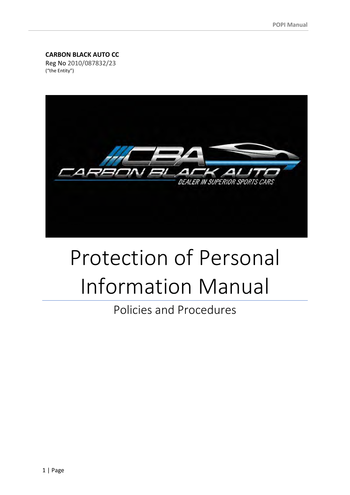### **CARBON BLACK AUTO CC**

Reg No 2010/087832/23 ("the Entity")



# Protection of Personal Information Manual

Policies and Procedures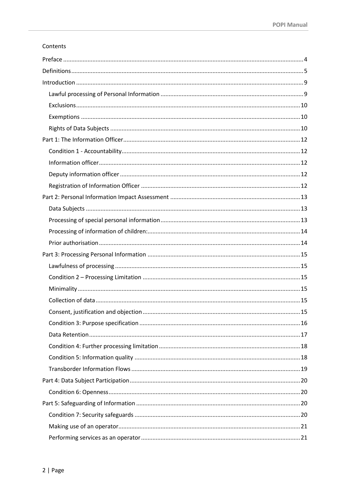#### Contents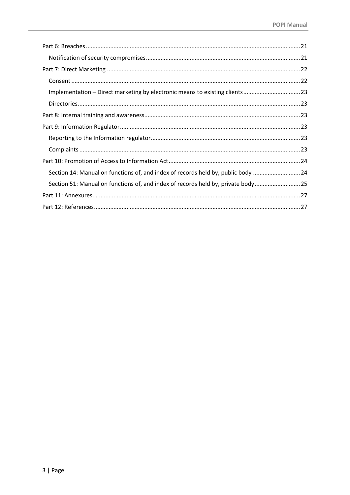| Implementation - Direct marketing by electronic means to existing clients23       |  |
|-----------------------------------------------------------------------------------|--|
|                                                                                   |  |
|                                                                                   |  |
|                                                                                   |  |
|                                                                                   |  |
|                                                                                   |  |
|                                                                                   |  |
| Section 14: Manual on functions of, and index of records held by, public body  24 |  |
| Section 51: Manual on functions of, and index of records held by, private body 25 |  |
|                                                                                   |  |
|                                                                                   |  |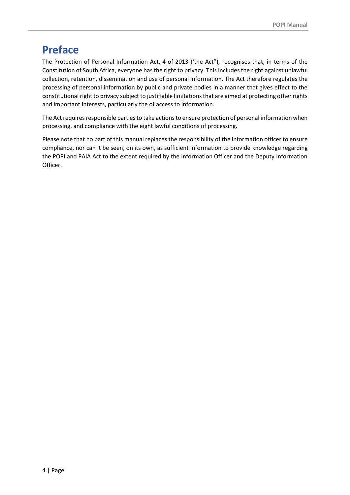# <span id="page-3-0"></span>**Preface**

The Protection of Personal Information Act, 4 of 2013 ('the Act"), recognises that, in terms of the Constitution of South Africa, everyone has the right to privacy. This includes the right against unlawful collection, retention, dissemination and use of personal information. The Act therefore regulates the processing of personal information by public and private bodies in a manner that gives effect to the constitutional right to privacy subject to justifiable limitations that are aimed at protecting other rights and important interests, particularly the of access to information.

The Act requires responsible parties to take actions to ensure protection of personal information when processing, and compliance with the eight lawful conditions of processing.

Please note that no part of this manual replaces the responsibility of the information officer to ensure compliance, nor can it be seen, on its own, as sufficient information to provide knowledge regarding the POPI and PAIA Act to the extent required by the Information Officer and the Deputy Information Officer.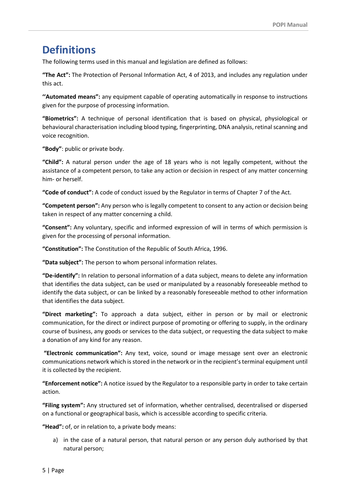# <span id="page-4-0"></span>**Definitions**

The following terms used in this manual and legislation are defined as follows:

**"The Act":** The Protection of Personal Information Act, 4 of 2013, and includes any regulation under this act.

**''Automated means":** any equipment capable of operating automatically in response to instructions given for the purpose of processing information.

**"Biometrics":** A technique of personal identification that is based on physical, physiological or behavioural characterisation including blood typing, fingerprinting, DNA analysis, retinal scanning and voice recognition.

**"Body"**: public or private body.

**"Child":** A natural person under the age of 18 years who is not legally competent, without the assistance of a competent person, to take any action or decision in respect of any matter concerning him- or herself.

**"Code of conduct":** A code of conduct issued by the Regulator in terms of Chapter 7 of the Act.

**"Competent person":** Any person who is legally competent to consent to any action or decision being taken in respect of any matter concerning a child.

**"Consent":** Any voluntary, specific and informed expression of will in terms of which permission is given for the processing of personal information.

**"Constitution":** The Constitution of the Republic of South Africa, 1996.

**"Data subject":** The person to whom personal information relates.

**"De-identify":** In relation to personal information of a data subject, means to delete any information that identifies the data subject, can be used or manipulated by a reasonably foreseeable method to identify the data subject, or can be linked by a reasonably foreseeable method to other information that identifies the data subject.

**"Direct marketing":** To approach a data subject, either in person or by mail or electronic communication, for the direct or indirect purpose of promoting or offering to supply, in the ordinary course of business, any goods or services to the data subject, or requesting the data subject to make a donation of any kind for any reason.

**"Electronic communication":** Any text, voice, sound or image message sent over an electronic communications network which is stored in the network or in the recipient's terminal equipment until it is collected by the recipient.

**"Enforcement notice":** A notice issued by the Regulator to a responsible party in order to take certain action.

**"Filing system":** Any structured set of information, whether centralised, decentralised or dispersed on a functional or geographical basis, which is accessible according to specific criteria.

**"Head":** of, or in relation to, a private body means:

a) in the case of a natural person, that natural person or any person duly authorised by that natural person;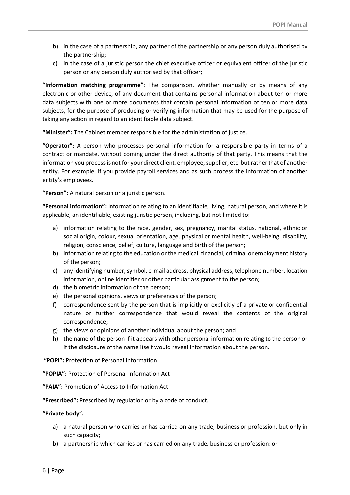- b) in the case of a partnership, any partner of the partnership or any person duly authorised by the partnership;
- c) in the case of a juristic person the chief executive officer or equivalent officer of the juristic person or any person duly authorised by that officer;

**"Information matching programme":** The comparison, whether manually or by means of any electronic or other device, of any document that contains personal information about ten or more data subjects with one or more documents that contain personal information of ten or more data subjects, for the purpose of producing or verifying information that may be used for the purpose of taking any action in regard to an identifiable data subject.

**"Minister":** The Cabinet member responsible for the administration of justice.

**"Operator":** A person who processes personal information for a responsible party in terms of a contract or mandate, without coming under the direct authority of that party. This means that the information you process is not for your direct client, employee, supplier, etc. but rather that of another entity. For example, if you provide payroll services and as such process the information of another entity's employees.

**"Person":** A natural person or a juristic person.

**"Personal information":** Information relating to an identifiable, living, natural person, and where it is applicable, an identifiable, existing juristic person, including, but not limited to:

- a) information relating to the race, gender, sex, pregnancy, marital status, national, ethnic or social origin, colour, sexual orientation, age, physical or mental health, well-being, disability, religion, conscience, belief, culture, language and birth of the person;
- b) information relating to the education or the medical, financial, criminal or employment history of the person;
- c) any identifying number, symbol, e-mail address, physical address, telephone number, location information, online identifier or other particular assignment to the person;
- d) the biometric information of the person;
- e) the personal opinions, views or preferences of the person;
- f) correspondence sent by the person that is implicitly or explicitly of a private or confidential nature or further correspondence that would reveal the contents of the original correspondence;
- g) the views or opinions of another individual about the person; and
- h) the name of the person if it appears with other personal information relating to the person or if the disclosure of the name itself would reveal information about the person.

**"POPI":** Protection of Personal Information.

**"POPIA":** Protection of Personal Information Act

**"PAIA":** Promotion of Access to Information Act

**"Prescribed":** Prescribed by regulation or by a code of conduct.

#### **"Private body":**

- a) a natural person who carries or has carried on any trade, business or profession, but only in such capacity;
- b) a partnership which carries or has carried on any trade, business or profession; or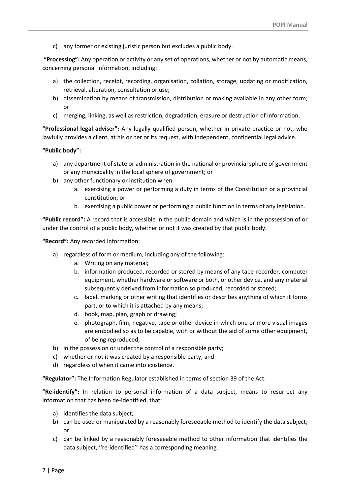c) any former or existing juristic person but excludes a public body.

**"Processing":** Any operation or activity or any set of operations, whether or not by automatic means, concerning personal information, including:

- a) the collection, receipt, recording, organisation, collation, storage, updating or modification, retrieval, alteration, consultation or use;
- b) dissemination by means of transmission, distribution or making available in any other form; or
- c) merging, linking, as well as restriction, degradation, erasure or destruction of information.

**"Professional legal adviser":** Any legally qualified person, whether in private practice or not, who lawfully provides a client, at his or her or its request, with independent, confidential legal advice.

#### **"Public body":**

- a) any department of state or administration in the national or provincial sphere of government or any municipality in the local sphere of government; or
- b) any other functionary or institution when:
	- a. exercising a power or performing a duty in terms of the Constitution or a provincial constitution; or
	- b. exercising a public power or performing a public function in terms of any legislation.

**"Public record":** A record that is accessible in the public domain and which is in the possession of or under the control of a public body, whether or not it was created by that public body.

**"Record":** Any recorded information:

- a) regardless of form or medium, including any of the following:
	- a. Writing on any material;
	- b. information produced, recorded or stored by means of any tape-recorder, computer equipment, whether hardware or software or both, or other device, and any material subsequently derived from information so produced, recorded or stored;
	- c. label, marking or other writing that identifies or describes anything of which it forms part, or to which it is attached by any means;
	- d. book, map, plan, graph or drawing;
	- e. photograph, film, negative, tape or other device in which one or more visual images are embodied so as to be capable, with or without the aid of some other equipment, of being reproduced;
- b) in the possession or under the control of a responsible party;
- c) whether or not it was created by a responsible party; and
- d) regardless of when it came into existence.

**"Regulator":** The Information Regulator established in terms of section 39 of the Act.

**"Re-identify":** In relation to personal information of a data subject, means to resurrect any information that has been de-identified, that:

- a) identifies the data subject;
- b) can be used or manipulated by a reasonably foreseeable method to identify the data subject; or
- c) can be linked by a reasonably foreseeable method to other information that identifies the data subject, ''re-identified'' has a corresponding meaning.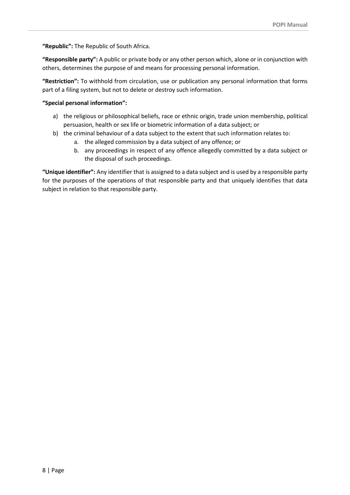**"Republic":** The Republic of South Africa.

**"Responsible party":** A public or private body or any other person which, alone or in conjunction with others, determines the purpose of and means for processing personal information.

**"Restriction":** To withhold from circulation, use or publication any personal information that forms part of a filing system, but not to delete or destroy such information.

#### **"Special personal information":**

- a) the religious or philosophical beliefs, race or ethnic origin, trade union membership, political persuasion, health or sex life or biometric information of a data subject; or
- b) the criminal behaviour of a data subject to the extent that such information relates to:
	- a. the alleged commission by a data subject of any offence; or
	- b. any proceedings in respect of any offence allegedly committed by a data subject or the disposal of such proceedings.

**"Unique identifier":** Any identifier that is assigned to a data subject and is used by a responsible party for the purposes of the operations of that responsible party and that uniquely identifies that data subject in relation to that responsible party.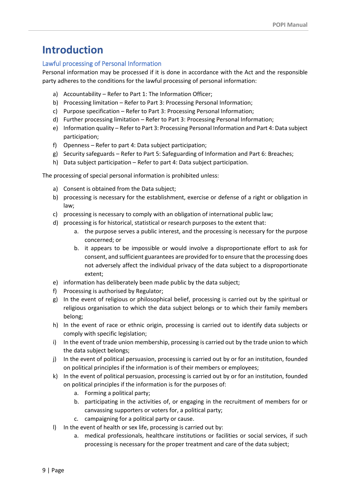# <span id="page-8-0"></span>**Introduction**

# <span id="page-8-1"></span>Lawful processing of Personal Information

Personal information may be processed if it is done in accordance with the Act and the responsible party adheres to the conditions for the lawful processing of personal information:

- a) Accountability Refer to Part 1: The Information Officer;
- b) Processing limitation Refer to Part 3: Processing Personal Information;
- c) Purpose specification Refer to Part 3: Processing Personal Information;
- d) Further processing limitation Refer to Part 3: Processing Personal Information;
- e) Information quality Refer to Part 3: Processing Personal Information and Part 4: Data subject participation;
- f) Openness Refer to part 4: Data subject participation;
- g) Security safeguards Refer to Part 5: Safeguarding of Information and Part 6: Breaches;
- h) Data subject participation Refer to part 4: Data subject participation.

The processing of special personal information is prohibited unless:

- a) Consent is obtained from the Data subject;
- b) processing is necessary for the establishment, exercise or defense of a right or obligation in law;
- c) processing is necessary to comply with an obligation of international public law;
- d) processing is for historical, statistical or research purposes to the extent that:
	- a. the purpose serves a public interest, and the processing is necessary for the purpose concerned; or
	- b. it appears to be impossible or would involve a disproportionate effort to ask for consent, and sufficient guarantees are provided for to ensure that the processing does not adversely affect the individual privacy of the data subject to a disproportionate extent;
- e) information has deliberately been made public by the data subject;
- f) Processing is authorised by Regulator;
- g) In the event of religious or philosophical belief, processing is carried out by the spiritual or religious organisation to which the data subject belongs or to which their family members belong;
- h) In the event of race or ethnic origin, processing is carried out to identify data subjects or comply with specific legislation;
- i) In the event of trade union membership, processing is carried out by the trade union to which the data subject belongs;
- j) In the event of political persuasion, processing is carried out by or for an institution, founded on political principles if the information is of their members or employees;
- k) In the event of political persuasion, processing is carried out by or for an institution, founded on political principles if the information is for the purposes of:
	- a. Forming a political party;
	- b. participating in the activities of, or engaging in the recruitment of members for or canvassing supporters or voters for, a political party;
	- c. campaigning for a political party or cause.
- l) In the event of health or sex life, processing is carried out by:
	- a. medical professionals, healthcare institutions or facilities or social services, if such processing is necessary for the proper treatment and care of the data subject;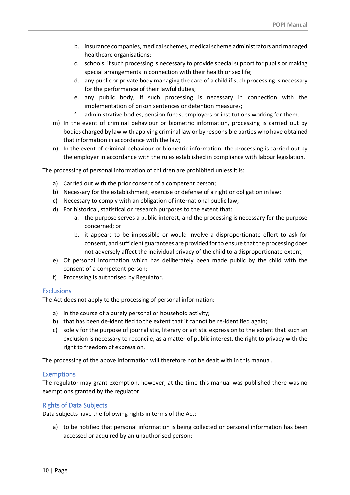- b. insurance companies, medical schemes, medical scheme administrators and managed healthcare organisations;
- c. schools, if such processing is necessary to provide special support for pupils or making special arrangements in connection with their health or sex life;
- d. any public or private body managing the care of a child if such processing is necessary for the performance of their lawful duties;
- e. any public body, if such processing is necessary in connection with the implementation of prison sentences or detention measures;
- f. administrative bodies, pension funds, employers or institutions working for them.
- m) In the event of criminal behaviour or biometric information, processing is carried out by bodies charged by law with applying criminal law or by responsible parties who have obtained that information in accordance with the law;
- n) In the event of criminal behaviour or biometric information, the processing is carried out by the employer in accordance with the rules established in compliance with labour legislation.

The processing of personal information of children are prohibited unless it is:

- a) Carried out with the prior consent of a competent person;
- b) Necessary for the establishment, exercise or defense of a right or obligation in law;
- c) Necessary to comply with an obligation of international public law;
- d) For historical, statistical or research purposes to the extent that:
	- a. the purpose serves a public interest, and the processing is necessary for the purpose concerned; or
	- b. it appears to be impossible or would involve a disproportionate effort to ask for consent, and sufficient guarantees are provided for to ensure that the processing does not adversely affect the individual privacy of the child to a disproportionate extent;
- e) Of personal information which has deliberately been made public by the child with the consent of a competent person;
- f) Processing is authorised by Regulator.

# <span id="page-9-0"></span>**Exclusions**

The Act does not apply to the processing of personal information:

- a) in the course of a purely personal or household activity;
- b) that has been de-identified to the extent that it cannot be re-identified again;
- c) solely for the purpose of journalistic, literary or artistic expression to the extent that such an exclusion is necessary to reconcile, as a matter of public interest, the right to privacy with the right to freedom of expression.

The processing of the above information will therefore not be dealt with in this manual.

# <span id="page-9-1"></span>**Exemptions**

The regulator may grant exemption, however, at the time this manual was published there was no exemptions granted by the regulator.

# <span id="page-9-2"></span>Rights of Data Subjects

Data subjects have the following rights in terms of the Act:

a) to be notified that personal information is being collected or personal information has been accessed or acquired by an unauthorised person;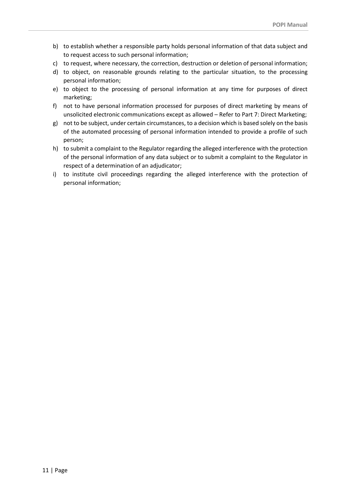- b) to establish whether a responsible party holds personal information of that data subject and to request access to such personal information;
- c) to request, where necessary, the correction, destruction or deletion of personal information;
- d) to object, on reasonable grounds relating to the particular situation, to the processing personal information;
- e) to object to the processing of personal information at any time for purposes of direct marketing;
- f) not to have personal information processed for purposes of direct marketing by means of unsolicited electronic communications except as allowed – Refer to Part 7: Direct Marketing;
- g) not to be subject, under certain circumstances, to a decision which is based solely on the basis of the automated processing of personal information intended to provide a profile of such person;
- h) to submit a complaint to the Regulator regarding the alleged interference with the protection of the personal information of any data subject or to submit a complaint to the Regulator in respect of a determination of an adjudicator;
- i) to institute civil proceedings regarding the alleged interference with the protection of personal information;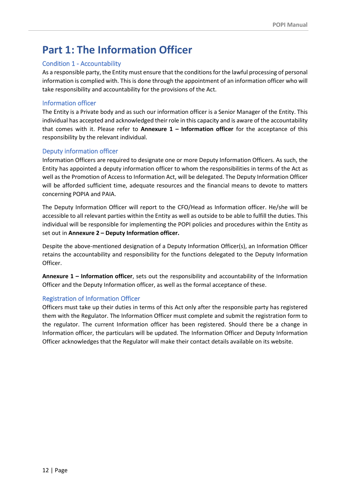# <span id="page-11-0"></span>**Part 1: The Information Officer**

# <span id="page-11-1"></span>Condition 1 - Accountability

As a responsible party, the Entity must ensure that the conditions for the lawful processing of personal information is complied with. This is done through the appointment of an information officer who will take responsibility and accountability for the provisions of the Act.

# <span id="page-11-2"></span>Information officer

The Entity is a Private body and as such our information officer is a Senior Manager of the Entity. This individual has accepted and acknowledged their role in this capacity and is aware of the accountability that comes with it. Please refer to **Annexure 1 – Information officer** for the acceptance of this responsibility by the relevant individual.

# <span id="page-11-3"></span>Deputy information officer

Information Officers are required to designate one or more Deputy Information Officers. As such, the Entity has appointed a deputy information officer to whom the responsibilities in terms of the Act as well as the Promotion of Access to Information Act, will be delegated. The Deputy Information Officer will be afforded sufficient time, adequate resources and the financial means to devote to matters concerning POPIA and PAIA.

The Deputy Information Officer will report to the CFO/Head as Information officer. He/she will be accessible to all relevant parties within the Entity as well as outside to be able to fulfill the duties. This individual will be responsible for implementing the POPI policies and procedures within the Entity as set out in **Annexure 2 – Deputy Information officer.**

Despite the above-mentioned designation of a Deputy Information Officer(s), an Information Officer retains the accountability and responsibility for the functions delegated to the Deputy Information Officer.

**Annexure 1 – Information officer**, sets out the responsibility and accountability of the Information Officer and the Deputy Information officer, as well as the formal acceptance of these.

# <span id="page-11-4"></span>Registration of Information Officer

Officers must take up their duties in terms of this Act only after the responsible party has registered them with the Regulator. The Information Officer must complete and submit the registration form to the regulator. The current Information officer has been registered. Should there be a change in Information officer, the particulars will be updated. The Information Officer and Deputy Information Officer acknowledges that the Regulator will make their contact details available on its website.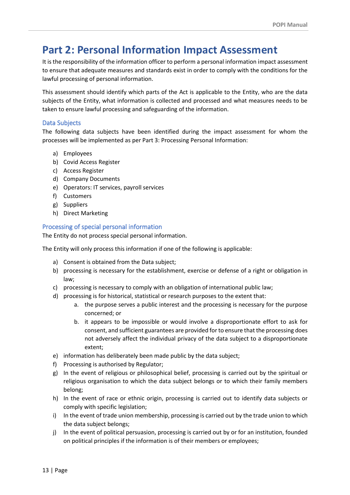# <span id="page-12-0"></span>**Part 2: Personal Information Impact Assessment**

It is the responsibility of the information officer to perform a personal information impact assessment to ensure that adequate measures and standards exist in order to comply with the conditions for the lawful processing of personal information.

This assessment should identify which parts of the Act is applicable to the Entity, who are the data subjects of the Entity, what information is collected and processed and what measures needs to be taken to ensure lawful processing and safeguarding of the information.

### <span id="page-12-1"></span>Data Subjects

The following data subjects have been identified during the impact assessment for whom the processes will be implemented as per Part 3: Processing Personal Information:

- a) Employees
- b) Covid Access Register
- c) Access Register
- d) Company Documents
- e) Operators: IT services, payroll services
- f) Customers
- g) Suppliers
- h) Direct Marketing

### <span id="page-12-2"></span>Processing of special personal information

The Entity do not process special personal information.

The Entity will only process this information if one of the following is applicable:

- a) Consent is obtained from the Data subject;
- b) processing is necessary for the establishment, exercise or defense of a right or obligation in law;
- c) processing is necessary to comply with an obligation of international public law;
- d) processing is for historical, statistical or research purposes to the extent that:
	- a. the purpose serves a public interest and the processing is necessary for the purpose concerned; or
	- b. it appears to be impossible or would involve a disproportionate effort to ask for consent, and sufficient guarantees are provided for to ensure that the processing does not adversely affect the individual privacy of the data subject to a disproportionate extent;
- e) information has deliberately been made public by the data subject;
- f) Processing is authorised by Regulator;
- g) In the event of religious or philosophical belief, processing is carried out by the spiritual or religious organisation to which the data subject belongs or to which their family members belong;
- h) In the event of race or ethnic origin, processing is carried out to identify data subjects or comply with specific legislation;
- i) In the event of trade union membership, processing is carried out by the trade union to which the data subject belongs;
- j) In the event of political persuasion, processing is carried out by or for an institution, founded on political principles if the information is of their members or employees;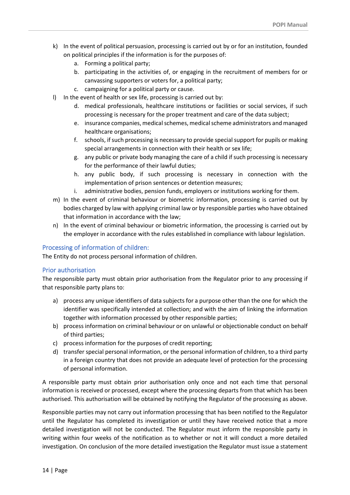- k) In the event of political persuasion, processing is carried out by or for an institution, founded on political principles if the information is for the purposes of:
	- a. Forming a political party;
	- b. participating in the activities of, or engaging in the recruitment of members for or canvassing supporters or voters for, a political party;
	- c. campaigning for a political party or cause.
- l) In the event of health or sex life, processing is carried out by:
	- d. medical professionals, healthcare institutions or facilities or social services, if such processing is necessary for the proper treatment and care of the data subject;
	- e. insurance companies, medical schemes, medical scheme administrators and managed healthcare organisations;
	- f. schools, if such processing is necessary to provide special support for pupils or making special arrangements in connection with their health or sex life;
	- g. any public or private body managing the care of a child if such processing is necessary for the performance of their lawful duties;
	- h. any public body, if such processing is necessary in connection with the implementation of prison sentences or detention measures;
	- i. administrative bodies, pension funds, employers or institutions working for them.
- m) In the event of criminal behaviour or biometric information, processing is carried out by bodies charged by law with applying criminal law or by responsible parties who have obtained that information in accordance with the law;
- n) In the event of criminal behaviour or biometric information, the processing is carried out by the employer in accordance with the rules established in compliance with labour legislation.

### <span id="page-13-0"></span>Processing of information of children:

The Entity do not process personal information of children.

#### <span id="page-13-1"></span>Prior authorisation

The responsible party must obtain prior authorisation from the Regulator prior to any processing if that responsible party plans to:

- a) process any unique identifiers of data subjects for a purpose other than the one for which the identifier was specifically intended at collection; and with the aim of linking the information together with information processed by other responsible parties;
- b) process information on criminal behaviour or on unlawful or objectionable conduct on behalf of third parties;
- c) process information for the purposes of credit reporting;
- d) transfer special personal information, or the personal information of children, to a third party in a foreign country that does not provide an adequate level of protection for the processing of personal information.

A responsible party must obtain prior authorisation only once and not each time that personal information is received or processed, except where the processing departs from that which has been authorised. This authorisation will be obtained by notifying the Regulator of the processing as above.

Responsible parties may not carry out information processing that has been notified to the Regulator until the Regulator has completed its investigation or until they have received notice that a more detailed investigation will not be conducted. The Regulator must inform the responsible party in writing within four weeks of the notification as to whether or not it will conduct a more detailed investigation. On conclusion of the more detailed investigation the Regulator must issue a statement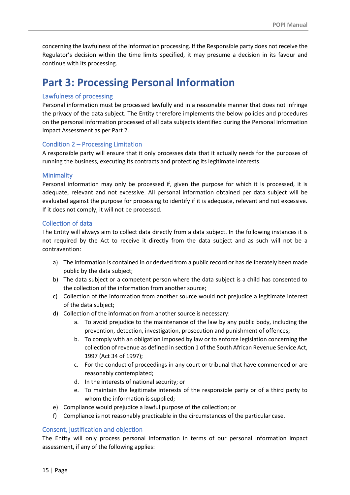concerning the lawfulness of the information processing. If the Responsible party does not receive the Regulator's decision within the time limits specified, it may presume a decision in its favour and continue with its processing.

# <span id="page-14-0"></span>**Part 3: Processing Personal Information**

### <span id="page-14-1"></span>Lawfulness of processing

Personal information must be processed lawfully and in a reasonable manner that does not infringe the privacy of the data subject. The Entity therefore implements the below policies and procedures on the personal information processed of all data subjects identified during the Personal Information Impact Assessment as per Part 2.

### <span id="page-14-2"></span>Condition 2 – Processing Limitation

A responsible party will ensure that it only processes data that it actually needs for the purposes of running the business, executing its contracts and protecting its legitimate interests.

### <span id="page-14-3"></span>**Minimality**

Personal information may only be processed if, given the purpose for which it is processed, it is adequate, relevant and not excessive. All personal information obtained per data subject will be evaluated against the purpose for processing to identify if it is adequate, relevant and not excessive. If it does not comply, it will not be processed.

### <span id="page-14-4"></span>Collection of data

The Entity will always aim to collect data directly from a data subject. In the following instances it is not required by the Act to receive it directly from the data subject and as such will not be a contravention:

- a) The information is contained in or derived from a public record or has deliberately been made public by the data subject;
- b) The data subject or a competent person where the data subject is a child has consented to the collection of the information from another source;
- c) Collection of the information from another source would not prejudice a legitimate interest of the data subject;
- d) Collection of the information from another source is necessary:
	- a. To avoid prejudice to the maintenance of the law by any public body, including the prevention, detection, investigation, prosecution and punishment of offences;
	- b. To comply with an obligation imposed by law or to enforce legislation concerning the collection of revenue as defined in section 1 of the South African Revenue Service Act, 1997 (Act 34 of 1997);
	- c. For the conduct of proceedings in any court or tribunal that have commenced or are reasonably contemplated;
	- d. In the interests of national security; or
	- e. To maintain the legitimate interests of the responsible party or of a third party to whom the information is supplied;
- e) Compliance would prejudice a lawful purpose of the collection; or
- f) Compliance is not reasonably practicable in the circumstances of the particular case.

# <span id="page-14-5"></span>Consent, justification and objection

The Entity will only process personal information in terms of our personal information impact assessment, if any of the following applies: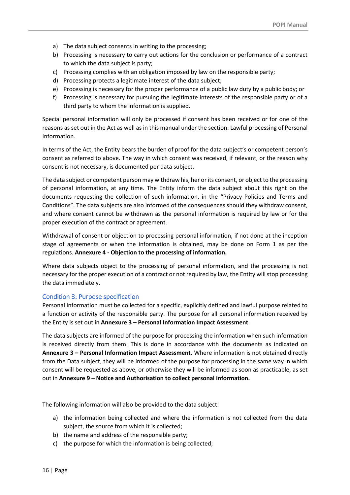- a) The data subject consents in writing to the processing;
- b) Processing is necessary to carry out actions for the conclusion or performance of a contract to which the data subject is party;
- c) Processing complies with an obligation imposed by law on the responsible party;
- d) Processing protects a legitimate interest of the data subject;
- e) Processing is necessary for the proper performance of a public law duty by a public body; or
- f) Processing is necessary for pursuing the legitimate interests of the responsible party or of a third party to whom the information is supplied.

Special personal information will only be processed if consent has been received or for one of the reasons as set out in the Act as well as in this manual under the section: Lawful processing of Personal Information.

In terms of the Act, the Entity bears the burden of proof for the data subject's or competent person's consent as referred to above. The way in which consent was received, if relevant, or the reason why consent is not necessary, is documented per data subject.

The data subject or competent person may withdraw his, her or its consent, or object to the processing of personal information, at any time. The Entity inform the data subject about this right on the documents requesting the collection of such information, in the "Privacy Policies and Terms and Conditions". The data subjects are also informed of the consequences should they withdraw consent, and where consent cannot be withdrawn as the personal information is required by law or for the proper execution of the contract or agreement.

Withdrawal of consent or objection to processing personal information, if not done at the inception stage of agreements or when the information is obtained, may be done on Form 1 as per the regulations. **Annexure 4 - Objection to the processing of information.**

Where data subjects object to the processing of personal information, and the processing is not necessary for the proper execution of a contract or not required by law, the Entity will stop processing the data immediately.

#### <span id="page-15-0"></span>Condition 3: Purpose specification

Personal information must be collected for a specific, explicitly defined and lawful purpose related to a function or activity of the responsible party. The purpose for all personal information received by the Entity is set out in **Annexure 3 – Personal Information Impact Assessment**.

The data subjects are informed of the purpose for processing the information when such information is received directly from them. This is done in accordance with the documents as indicated on **Annexure 3 – Personal Information Impact Assessment**. Where information is not obtained directly from the Data subject, they will be informed of the purpose for processing in the same way in which consent will be requested as above, or otherwise they will be informed as soon as practicable, as set out in **Annexure 9 – Notice and Authorisation to collect personal information.**

The following information will also be provided to the data subject:

- a) the information being collected and where the information is not collected from the data subject, the source from which it is collected;
- b) the name and address of the responsible party;
- c) the purpose for which the information is being collected;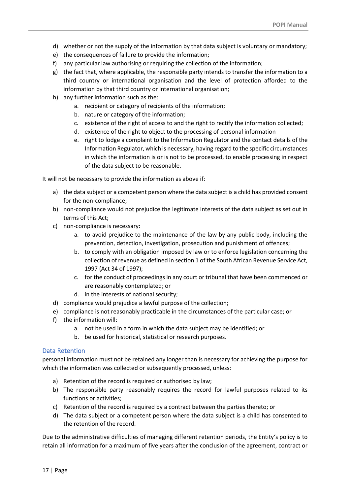- d) whether or not the supply of the information by that data subject is voluntary or mandatory;
- e) the consequences of failure to provide the information;
- f) any particular law authorising or requiring the collection of the information;
- g) the fact that, where applicable, the responsible party intends to transfer the information to a third country or international organisation and the level of protection afforded to the information by that third country or international organisation;
- h) any further information such as the:
	- a. recipient or category of recipients of the information;
	- b. nature or category of the information;
	- c. existence of the right of access to and the right to rectify the information collected;
	- d. existence of the right to object to the processing of personal information
	- e. right to lodge a complaint to the Information Regulator and the contact details of the Information Regulator, which is necessary, having regard to the specific circumstances in which the information is or is not to be processed, to enable processing in respect of the data subject to be reasonable.

It will not be necessary to provide the information as above if:

- a) the data subject or a competent person where the data subject is a child has provided consent for the non-compliance;
- b) non-compliance would not prejudice the legitimate interests of the data subject as set out in terms of this Act;
- c) non-compliance is necessary:
	- a. to avoid prejudice to the maintenance of the law by any public body, including the prevention, detection, investigation, prosecution and punishment of offences;
	- b. to comply with an obligation imposed by law or to enforce legislation concerning the collection of revenue as defined in section 1 of the South African Revenue Service Act, 1997 (Act 34 of 1997);
	- c. for the conduct of proceedings in any court or tribunal that have been commenced or are reasonably contemplated; or
	- d. in the interests of national security;
- d) compliance would prejudice a lawful purpose of the collection;
- e) compliance is not reasonably practicable in the circumstances of the particular case; or
- f) the information will:
	- a. not be used in a form in which the data subject may be identified; or
		- b. be used for historical, statistical or research purposes.

#### <span id="page-16-0"></span>Data Retention

personal information must not be retained any longer than is necessary for achieving the purpose for which the information was collected or subsequently processed, unless:

- a) Retention of the record is required or authorised by law;
- b) The responsible party reasonably requires the record for lawful purposes related to its functions or activities;
- c) Retention of the record is required by a contract between the parties thereto; or
- d) The data subject or a competent person where the data subject is a child has consented to the retention of the record.

Due to the administrative difficulties of managing different retention periods, the Entity's policy is to retain all information for a maximum of five years after the conclusion of the agreement, contract or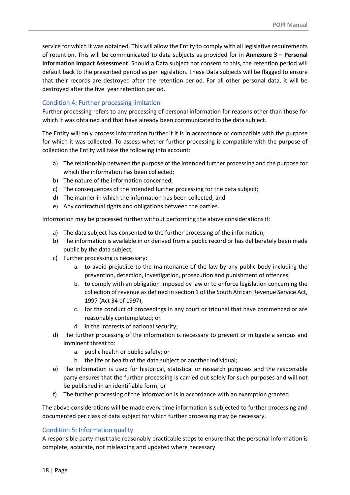service for which it was obtained. This will allow the Entity to comply with all legislative requirements of retention. This will be communicated to data subjects as provided for in **Annexure 3 – Personal Information Impact Assessment**. Should a Data subject not consent to this, the retention period will default back to the prescribed period as per legislation. These Data subjects will be flagged to ensure that their records are destroyed after the retention period. For all other personal data, it will be destroyed after the five year retention period.

### <span id="page-17-0"></span>Condition 4: Further processing limitation

Further processing refers to any processing of personal information for reasons other than those for which it was obtained and that have already been communicated to the data subject.

The Entity will only process information further if it is in accordance or compatible with the purpose for which it was collected. To assess whether further processing is compatible with the purpose of collection the Entity will take the following into account:

- a) The relationship between the purpose of the intended further processing and the purpose for which the information has been collected;
- b) The nature of the information concerned;
- c) The consequences of the intended further processing for the data subject;
- d) The manner in which the information has been collected; and
- e) Any contractual rights and obligations between the parties.

Information may be processed further without performing the above considerations if:

- a) The data subject has consented to the further processing of the information;
- b) The information is available in or derived from a public record or has deliberately been made public by the data subject;
- c) Further processing is necessary:
	- a. to avoid prejudice to the maintenance of the law by any public body including the prevention, detection, investigation, prosecution and punishment of offences;
	- b. to comply with an obligation imposed by law or to enforce legislation concerning the collection of revenue as defined in section 1 of the South African Revenue Service Act, 1997 (Act 34 of 1997);
	- c. for the conduct of proceedings in any court or tribunal that have commenced or are reasonably contemplated; or
	- d. in the interests of national security;
- d) The further processing of the information is necessary to prevent or mitigate a serious and imminent threat to:
	- a. public health or public safety; or
	- b. the life or health of the data subject or another individual;
- e) The information is used for historical, statistical or research purposes and the responsible party ensures that the further processing is carried out solely for such purposes and will not be published in an identifiable form; or
- f) The further processing of the information is in accordance with an exemption granted.

The above considerations will be made every time information is subjected to further processing and documented per class of data subject for which further processing may be necessary.

# <span id="page-17-1"></span>Condition 5: Information quality

A responsible party must take reasonably practicable steps to ensure that the personal information is complete, accurate, not misleading and updated where necessary.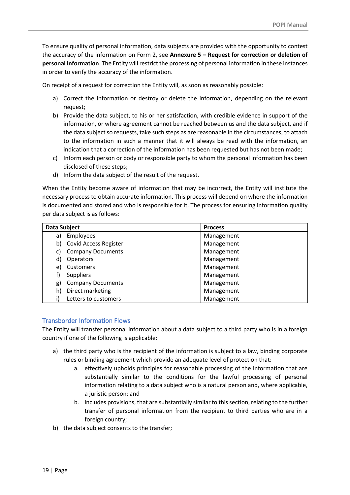To ensure quality of personal information, data subjects are provided with the opportunity to contest the accuracy of the information on Form 2, see **Annexure 5 – Request for correction or deletion of personal information**. The Entity will restrict the processing of personal information in these instances in order to verify the accuracy of the information.

On receipt of a request for correction the Entity will, as soon as reasonably possible:

- a) Correct the information or destroy or delete the information, depending on the relevant request;
- b) Provide the data subject, to his or her satisfaction, with credible evidence in support of the information, or where agreement cannot be reached between us and the data subject, and if the data subject so requests, take such steps as are reasonable in the circumstances, to attach to the information in such a manner that it will always be read with the information, an indication that a correction of the information has been requested but has not been made;
- c) Inform each person or body or responsible party to whom the personal information has been disclosed of these steps;
- d) Inform the data subject of the result of the request.

When the Entity become aware of information that may be incorrect, the Entity will institute the necessary process to obtain accurate information. This process will depend on where the information is documented and stored and who is responsible for it. The process for ensuring information quality per data subject is as follows:

| Data Subject |                              | <b>Process</b> |
|--------------|------------------------------|----------------|
| a)           | Employees                    | Management     |
| b)           | <b>Covid Access Register</b> | Management     |
| C)           | <b>Company Documents</b>     | Management     |
| d)           | Operators                    | Management     |
| e)           | Customers                    | Management     |
| f)           | <b>Suppliers</b>             | Management     |
| g)           | <b>Company Documents</b>     | Management     |
| h)           | Direct marketing             | Management     |
|              | Letters to customers         | Management     |

# <span id="page-18-0"></span>Transborder Information Flows

The Entity will transfer personal information about a data subject to a third party who is in a foreign country if one of the following is applicable:

- a) the third party who is the recipient of the information is subject to a law, binding corporate rules or binding agreement which provide an adequate level of protection that:
	- a. effectively upholds principles for reasonable processing of the information that are substantially similar to the conditions for the lawful processing of personal information relating to a data subject who is a natural person and, where applicable, a juristic person; and
	- b. includes provisions, that are substantially similar to this section, relating to the further transfer of personal information from the recipient to third parties who are in a foreign country;
- b) the data subject consents to the transfer;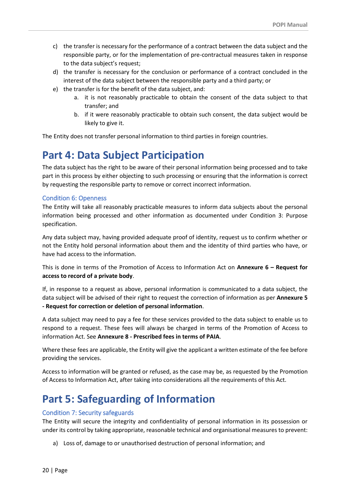- c) the transfer is necessary for the performance of a contract between the data subject and the responsible party, or for the implementation of pre-contractual measures taken in response to the data subject's request;
- d) the transfer is necessary for the conclusion or performance of a contract concluded in the interest of the data subject between the responsible party and a third party; or
- e) the transfer is for the benefit of the data subject, and:
	- a. it is not reasonably practicable to obtain the consent of the data subject to that transfer; and
	- b. if it were reasonably practicable to obtain such consent, the data subject would be likely to give it.

The Entity does not transfer personal information to third parties in foreign countries.

# <span id="page-19-0"></span>**Part 4: Data Subject Participation**

The data subject has the right to be aware of their personal information being processed and to take part in this process by either objecting to such processing or ensuring that the information is correct by requesting the responsible party to remove or correct incorrect information.

#### <span id="page-19-1"></span>Condition 6: Openness

The Entity will take all reasonably practicable measures to inform data subjects about the personal information being processed and other information as documented under Condition 3: Purpose specification.

Any data subject may, having provided adequate proof of identity, request us to confirm whether or not the Entity hold personal information about them and the identity of third parties who have, or have had access to the information.

This is done in terms of the Promotion of Access to Information Act on **Annexure 6 – Request for access to record of a private body**.

If, in response to a request as above, personal information is communicated to a data subject, the data subject will be advised of their right to request the correction of information as per **Annexure 5 - Request for correction or deletion of personal information**.

A data subject may need to pay a fee for these services provided to the data subject to enable us to respond to a request. These fees will always be charged in terms of the Promotion of Access to information Act. See **Annexure 8 - Prescribed fees in terms of PAIA**.

Where these fees are applicable, the Entity will give the applicant a written estimate of the fee before providing the services.

Access to information will be granted or refused, as the case may be, as requested by the Promotion of Access to Information Act, after taking into considerations all the requirements of this Act.

# <span id="page-19-2"></span>**Part 5: Safeguarding of Information**

#### <span id="page-19-3"></span>Condition 7: Security safeguards

The Entity will secure the integrity and confidentiality of personal information in its possession or under its control by taking appropriate, reasonable technical and organisational measures to prevent:

a) Loss of, damage to or unauthorised destruction of personal information; and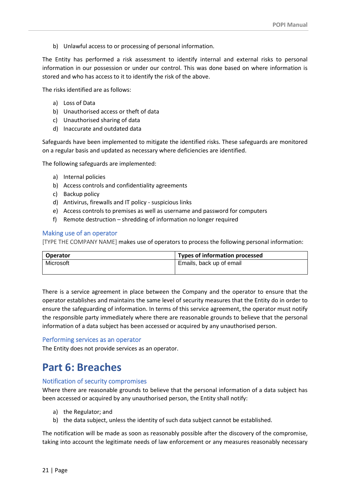b) Unlawful access to or processing of personal information.

The Entity has performed a risk assessment to identify internal and external risks to personal information in our possession or under our control. This was done based on where information is stored and who has access to it to identify the risk of the above.

The risks identified are as follows:

- a) Loss of Data
- b) Unauthorised access or theft of data
- c) Unauthorised sharing of data
- d) Inaccurate and outdated data

Safeguards have been implemented to mitigate the identified risks. These safeguards are monitored on a regular basis and updated as necessary where deficiencies are identified.

The following safeguards are implemented:

- a) Internal policies
- b) Access controls and confidentiality agreements
- c) Backup policy
- d) Antivirus, firewalls and IT policy suspicious links
- e) Access controls to premises as well as username and password for computers
- f) Remote destruction shredding of information no longer required

#### <span id="page-20-0"></span>Making use of an operator

[TYPE THE COMPANY NAME] makes use of operators to process the following personal information:

| Operator  | Types of information processed |  |
|-----------|--------------------------------|--|
| Microsoft | Emails, back up of email       |  |

There is a service agreement in place between the Company and the operator to ensure that the operator establishes and maintains the same level of security measures that the Entity do in order to ensure the safeguarding of information. In terms of this service agreement, the operator must notify the responsible party immediately where there are reasonable grounds to believe that the personal information of a data subject has been accessed or acquired by any unauthorised person.

#### <span id="page-20-1"></span>Performing services as an operator

The Entity does not provide services as an operator.

# <span id="page-20-2"></span>**Part 6: Breaches**

#### <span id="page-20-3"></span>Notification of security compromises

Where there are reasonable grounds to believe that the personal information of a data subject has been accessed or acquired by any unauthorised person, the Entity shall notify:

- a) the Regulator; and
- b) the data subject, unless the identity of such data subject cannot be established.

The notification will be made as soon as reasonably possible after the discovery of the compromise, taking into account the legitimate needs of law enforcement or any measures reasonably necessary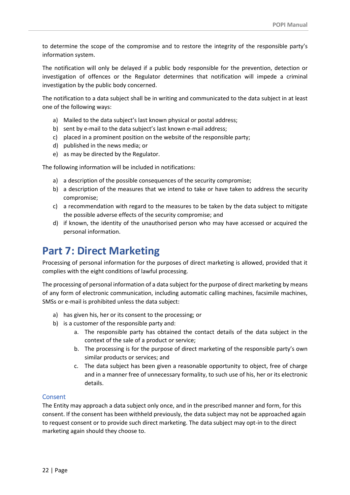to determine the scope of the compromise and to restore the integrity of the responsible party's information system.

The notification will only be delayed if a public body responsible for the prevention, detection or investigation of offences or the Regulator determines that notification will impede a criminal investigation by the public body concerned.

The notification to a data subject shall be in writing and communicated to the data subject in at least one of the following ways:

- a) Mailed to the data subject's last known physical or postal address;
- b) sent by e-mail to the data subject's last known e-mail address;
- c) placed in a prominent position on the website of the responsible party;
- d) published in the news media; or
- e) as may be directed by the Regulator.

The following information will be included in notifications:

- a) a description of the possible consequences of the security compromise;
- b) a description of the measures that we intend to take or have taken to address the security compromise;
- c) a recommendation with regard to the measures to be taken by the data subject to mitigate the possible adverse effects of the security compromise; and
- d) if known, the identity of the unauthorised person who may have accessed or acquired the personal information.

# <span id="page-21-0"></span>**Part 7: Direct Marketing**

Processing of personal information for the purposes of direct marketing is allowed, provided that it complies with the eight conditions of lawful processing.

The processing of personal information of a data subject for the purpose of direct marketing by means of any form of electronic communication, including automatic calling machines, facsimile machines, SMSs or e-mail is prohibited unless the data subject:

- a) has given his, her or its consent to the processing; or
- b) is a customer of the responsible party and:
	- a. The responsible party has obtained the contact details of the data subject in the context of the sale of a product or service;
	- b. The processing is for the purpose of direct marketing of the responsible party's own similar products or services; and
	- c. The data subject has been given a reasonable opportunity to object, free of charge and in a manner free of unnecessary formality, to such use of his, her or its electronic details.

# <span id="page-21-1"></span>Consent

The Entity may approach a data subject only once, and in the prescribed manner and form, for this consent. If the consent has been withheld previously, the data subject may not be approached again to request consent or to provide such direct marketing. The data subject may opt-in to the direct marketing again should they choose to.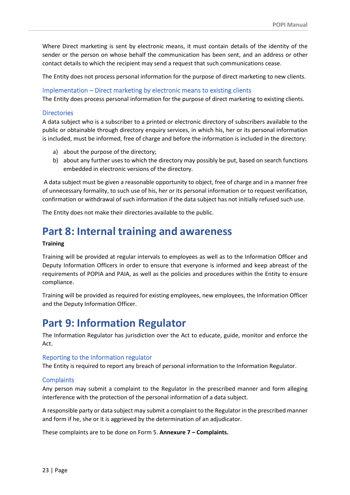Where Direct marketing is sent by electronic means, it must contain details of the identity of the sender or the person on whose behalf the communication has been sent, and an address or other contact details to which the recipient may send a request that such communications cease.

The Entity does not process personal information for the purpose of direct marketing to new clients.

<span id="page-22-0"></span>Implementation – Direct marketing by electronic means to existing clients

The Entity does process personal information for the purpose of direct marketing to existing clients.

#### <span id="page-22-1"></span>**Directories**

A data subject who is a subscriber to a printed or electronic directory of subscribers available to the public or obtainable through directory enquiry services, in which his, her or its personal information is included, must be informed, free of charge and before the information is included in the directory:

- a) about the purpose of the directory;
- b) about any further uses to which the directory may possibly be put, based on search functions embedded in electronic versions of the directory.

A data subject must be given a reasonable opportunity to object, free of charge and in a manner free of unnecessary formality, to such use of his, her or its personal information or to request verification, confirmation or withdrawal of such information if the data subject has not initially refused such use.

The Entity does not make their directories available to the public.

# <span id="page-22-2"></span>**Part 8: Internal training and awareness**

#### **Training**

Training will be provided at regular intervals to employees as well as to the Information Officer and Deputy Information Officers in order to ensure that everyone is informed and keep abreast of the requirements of POPIA and PAIA, as well as the policies and procedures within the Entity to ensure compliance.

Training will be provided as required for existing employees, new employees, the Information Officer and the Deputy Information Officer.

# <span id="page-22-3"></span>**Part 9: Information Regulator**

The Information Regulator has jurisdiction over the Act to educate, guide, monitor and enforce the Act.

#### <span id="page-22-4"></span>Reporting to the Information regulator

The Entity is required to report any breach of personal information to the Information Regulator.

#### <span id="page-22-5"></span>**Complaints**

Any person may submit a complaint to the Regulator in the prescribed manner and form alleging interference with the protection of the personal information of a data subject.

A responsible party or data subject may submit a complaint to the Regulator in the prescribed manner and form if he, she or it is aggrieved by the determination of an adjudicator.

These complaints are to be done on Form 5. **Annexure 7 – Complaints.**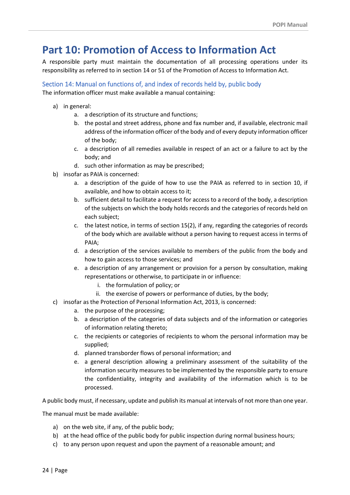# <span id="page-23-0"></span>**Part 10: Promotion of Access to Information Act**

A responsible party must maintain the documentation of all processing operations under its responsibility as referred to in section 14 or 51 of the Promotion of Access to Information Act.

<span id="page-23-1"></span>Section 14: Manual on functions of, and index of records held by, public body The information officer must make available a manual containing:

- a) in general:
	- a. a description of its structure and functions;
	- b. the postal and street address, phone and fax number and, if available, electronic mail address of the information officer of the body and of every deputy information officer of the body;
	- c. a description of all remedies available in respect of an act or a failure to act by the body; and
	- d. such other information as may be prescribed;
- b) insofar as PAIA is concerned:
	- a. a description of the guide of how to use the PAIA as referred to in section 10, if available, and how to obtain access to it;
	- b. sufficient detail to facilitate a request for access to a record of the body, a description of the subjects on which the body holds records and the categories of records held on each subject;
	- c. the latest notice, in terms of section 15(2), if any, regarding the categories of records of the body which are available without a person having to request access in terms of PAIA;
	- d. a description of the services available to members of the public from the body and how to gain access to those services; and
	- e. a description of any arrangement or provision for a person by consultation, making representations or otherwise, to participate in or influence:
		- i. the formulation of policy; or
		- ii. the exercise of powers or performance of duties, by the body;
- c) insofar as the Protection of Personal Information Act, 2013, is concerned:
	- a. the purpose of the processing;
	- b. a description of the categories of data subjects and of the information or categories of information relating thereto;
	- c. the recipients or categories of recipients to whom the personal information may be supplied;
	- d. planned transborder flows of personal information; and
	- e. a general description allowing a preliminary assessment of the suitability of the information security measures to be implemented by the responsible party to ensure the confidentiality, integrity and availability of the information which is to be processed.

A public body must, if necessary, update and publish its manual at intervals of not more than one year.

The manual must be made available:

- a) on the web site, if any, of the public body;
- b) at the head office of the public body for public inspection during normal business hours;
- c) to any person upon request and upon the payment of a reasonable amount; and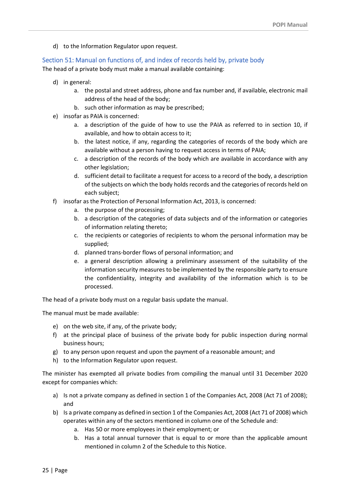d) to the Information Regulator upon request.

#### <span id="page-24-0"></span>Section 51: Manual on functions of, and index of records held by, private body

The head of a private body must make a manual available containing:

- d) in general:
	- a. the postal and street address, phone and fax number and, if available, electronic mail address of the head of the body;
	- b. such other information as may be prescribed;
- e) insofar as PAIA is concerned:
	- a. a description of the guide of how to use the PAIA as referred to in section 10, if available, and how to obtain access to it;
	- b. the latest notice, if any, regarding the categories of records of the body which are available without a person having to request access in terms of PAIA;
	- c. a description of the records of the body which are available in accordance with any other legislation;
	- d. sufficient detail to facilitate a request for access to a record of the body, a description of the subjects on which the body holds records and the categories of records held on each subject;
- f) insofar as the Protection of Personal Information Act, 2013, is concerned:
	- a. the purpose of the processing;
	- b. a description of the categories of data subjects and of the information or categories of information relating thereto;
	- c. the recipients or categories of recipients to whom the personal information may be supplied;
	- d. planned trans-border flows of personal information; and
	- e. a general description allowing a preliminary assessment of the suitability of the information security measures to be implemented by the responsible party to ensure the confidentiality, integrity and availability of the information which is to be processed.

The head of a private body must on a regular basis update the manual.

The manual must be made available:

- e) on the web site, if any, of the private body;
- f) at the principal place of business of the private body for public inspection during normal business hours;
- g) to any person upon request and upon the payment of a reasonable amount; and
- h) to the Information Regulator upon request.

The minister has exempted all private bodies from compiling the manual until 31 December 2020 except for companies which:

- a) Is not a private company as defined in section 1 of the Companies Act, 2008 (Act 71 of 2008); and
- b) Is a private company as defined in section 1 of the Companies Act, 2008 (Act 71 of 2008) which operates within any of the sectors mentioned in column one of the Schedule and:
	- a. Has 50 or more employees in their employment; or
	- b. Has a total annual turnover that is equal to or more than the applicable amount mentioned in column 2 of the Schedule to this Notice.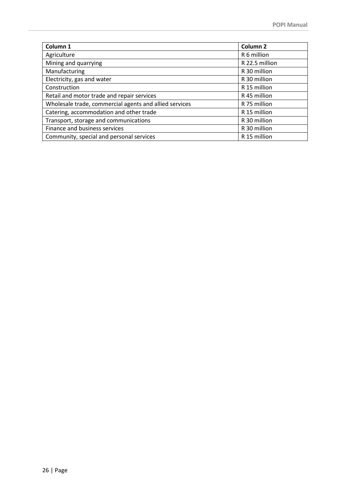| Column 1                                               | Column <sub>2</sub> |
|--------------------------------------------------------|---------------------|
| Agriculture                                            | R 6 million         |
| Mining and quarrying                                   | R 22.5 million      |
| Manufacturing                                          | R 30 million        |
| Electricity, gas and water                             | R 30 million        |
| Construction                                           | R 15 million        |
| Retail and motor trade and repair services             | R 45 million        |
| Wholesale trade, commercial agents and allied services | R 75 million        |
| Catering, accommodation and other trade                | R 15 million        |
| Transport, storage and communications                  | R 30 million        |
| Finance and business services                          | R 30 million        |
| Community, special and personal services               | R 15 million        |